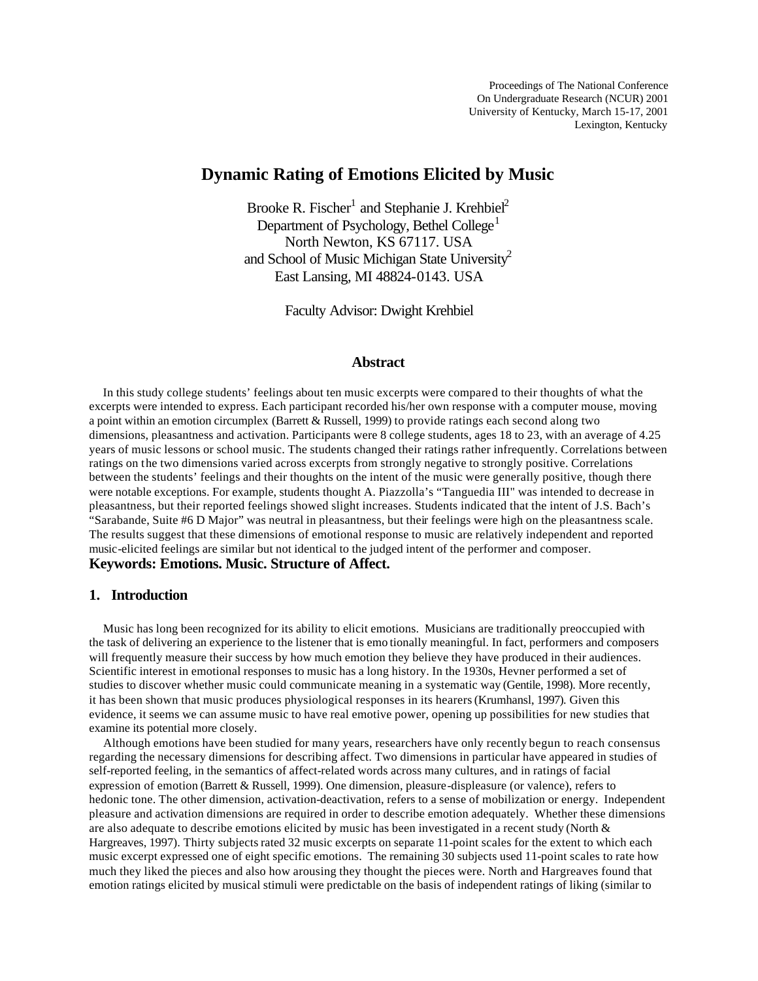# **Dynamic Rating of Emotions Elicited by Music**

Brooke R. Fischer<sup>1</sup> and Stephanie J. Krehbiel<sup>2</sup> Department of Psychology, Bethel College<sup>1</sup> North Newton, KS 67117. USA and School of Music Michigan State University<sup>2</sup> East Lansing, MI 48824-0143. USA

Faculty Advisor: Dwight Krehbiel

### **Abstract**

 In this study college students' feelings about ten music excerpts were compared to their thoughts of what the excerpts were intended to express. Each participant recorded his/her own response with a computer mouse, moving a point within an emotion circumplex (Barrett & Russell, 1999) to provide ratings each second along two dimensions, pleasantness and activation. Participants were 8 college students, ages 18 to 23, with an average of 4.25 years of music lessons or school music. The students changed their ratings rather infrequently. Correlations between ratings on the two dimensions varied across excerpts from strongly negative to strongly positive. Correlations between the students' feelings and their thoughts on the intent of the music were generally positive, though there were notable exceptions. For example, students thought A. Piazzolla's "Tanguedia III" was intended to decrease in pleasantness, but their reported feelings showed slight increases. Students indicated that the intent of J.S. Bach's "Sarabande, Suite #6 D Major" was neutral in pleasantness, but their feelings were high on the pleasantness scale. The results suggest that these dimensions of emotional response to music are relatively independent and reported music-elicited feelings are similar but not identical to the judged intent of the performer and composer. **Keywords: Emotions. Music. Structure of Affect.**

#### **1. Introduction**

 Music has long been recognized for its ability to elicit emotions. Musicians are traditionally preoccupied with the task of delivering an experience to the listener that is emo tionally meaningful. In fact, performers and composers will frequently measure their success by how much emotion they believe they have produced in their audiences. Scientific interest in emotional responses to music has a long history. In the 1930s, Hevner performed a set of studies to discover whether music could communicate meaning in a systematic way (Gentile, 1998). More recently, it has been shown that music produces physiological responses in its hearers (Krumhansl, 1997). Given this evidence, it seems we can assume music to have real emotive power, opening up possibilities for new studies that examine its potential more closely.

 Although emotions have been studied for many years, researchers have only recently begun to reach consensus regarding the necessary dimensions for describing affect. Two dimensions in particular have appeared in studies of self-reported feeling, in the semantics of affect-related words across many cultures, and in ratings of facial expression of emotion (Barrett & Russell, 1999). One dimension, pleasure-displeasure (or valence), refers to hedonic tone. The other dimension, activation-deactivation, refers to a sense of mobilization or energy. Independent pleasure and activation dimensions are required in order to describe emotion adequately. Whether these dimensions are also adequate to describe emotions elicited by music has been investigated in a recent study (North & Hargreaves, 1997). Thirty subjects rated 32 music excerpts on separate 11-point scales for the extent to which each music excerpt expressed one of eight specific emotions. The remaining 30 subjects used 11-point scales to rate how much they liked the pieces and also how arousing they thought the pieces were. North and Hargreaves found that emotion ratings elicited by musical stimuli were predictable on the basis of independent ratings of liking (similar to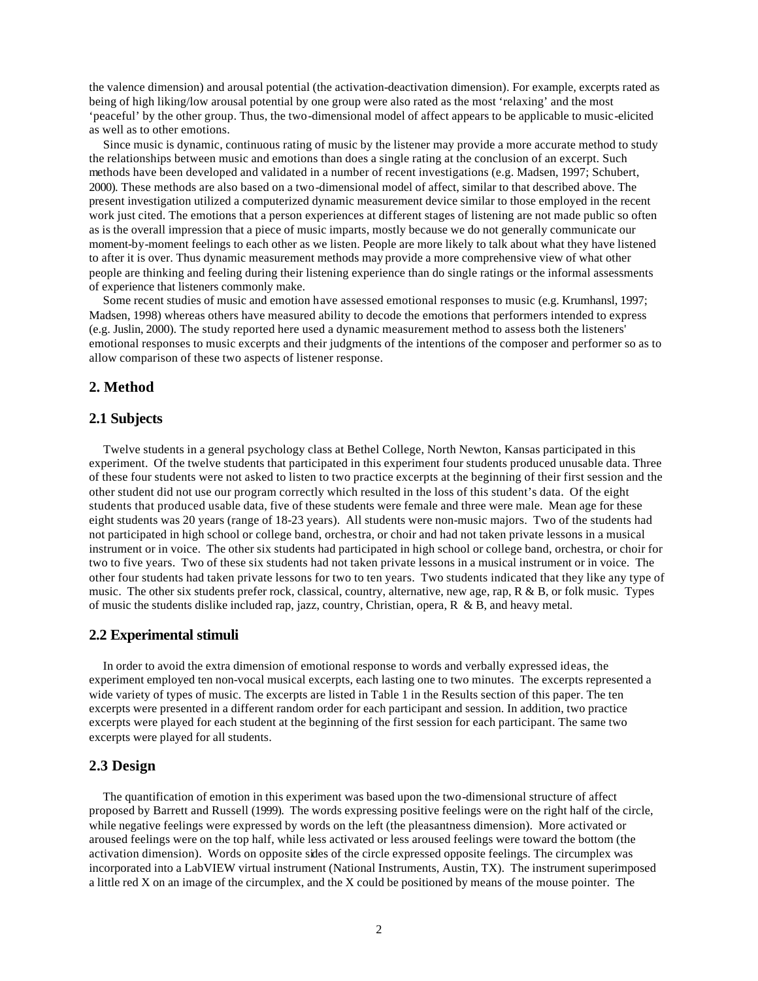the valence dimension) and arousal potential (the activation-deactivation dimension). For example, excerpts rated as being of high liking/low arousal potential by one group were also rated as the most 'relaxing' and the most 'peaceful' by the other group. Thus, the two-dimensional model of affect appears to be applicable to music-elicited as well as to other emotions.

 Since music is dynamic, continuous rating of music by the listener may provide a more accurate method to study the relationships between music and emotions than does a single rating at the conclusion of an excerpt. Such methods have been developed and validated in a number of recent investigations (e.g. Madsen, 1997; Schubert, 2000). These methods are also based on a two-dimensional model of affect, similar to that described above. The present investigation utilized a computerized dynamic measurement device similar to those employed in the recent work just cited. The emotions that a person experiences at different stages of listening are not made public so often as is the overall impression that a piece of music imparts, mostly because we do not generally communicate our moment-by-moment feelings to each other as we listen. People are more likely to talk about what they have listened to after it is over. Thus dynamic measurement methods may provide a more comprehensive view of what other people are thinking and feeling during their listening experience than do single ratings or the informal assessments of experience that listeners commonly make.

 Some recent studies of music and emotion have assessed emotional responses to music (e.g. Krumhansl, 1997; Madsen, 1998) whereas others have measured ability to decode the emotions that performers intended to express (e.g. Juslin, 2000). The study reported here used a dynamic measurement method to assess both the listeners' emotional responses to music excerpts and their judgments of the intentions of the composer and performer so as to allow comparison of these two aspects of listener response.

### **2. Method**

### **2.1 Subjects**

 Twelve students in a general psychology class at Bethel College, North Newton, Kansas participated in this experiment. Of the twelve students that participated in this experiment four students produced unusable data. Three of these four students were not asked to listen to two practice excerpts at the beginning of their first session and the other student did not use our program correctly which resulted in the loss of this student's data. Of the eight students that produced usable data, five of these students were female and three were male. Mean age for these eight students was 20 years (range of 18-23 years). All students were non-music majors. Two of the students had not participated in high school or college band, orchestra, or choir and had not taken private lessons in a musical instrument or in voice. The other six students had participated in high school or college band, orchestra, or choir for two to five years. Two of these six students had not taken private lessons in a musical instrument or in voice. The other four students had taken private lessons for two to ten years. Two students indicated that they like any type of music. The other six students prefer rock, classical, country, alternative, new age, rap, R & B, or folk music. Types of music the students dislike included rap, jazz, country, Christian, opera, R & B, and heavy metal.

#### **2.2 Experimental stimuli**

 In order to avoid the extra dimension of emotional response to words and verbally expressed ideas, the experiment employed ten non-vocal musical excerpts, each lasting one to two minutes. The excerpts represented a wide variety of types of music. The excerpts are listed in Table 1 in the Results section of this paper. The ten excerpts were presented in a different random order for each participant and session. In addition, two practice excerpts were played for each student at the beginning of the first session for each participant. The same two excerpts were played for all students.

### **2.3 Design**

 The quantification of emotion in this experiment was based upon the two-dimensional structure of affect proposed by Barrett and Russell (1999). The words expressing positive feelings were on the right half of the circle, while negative feelings were expressed by words on the left (the pleasantness dimension). More activated or aroused feelings were on the top half, while less activated or less aroused feelings were toward the bottom (the activation dimension). Words on opposite sides of the circle expressed opposite feelings. The circumplex was incorporated into a LabVIEW virtual instrument (National Instruments, Austin, TX). The instrument superimposed a little red X on an image of the circumplex, and the X could be positioned by means of the mouse pointer. The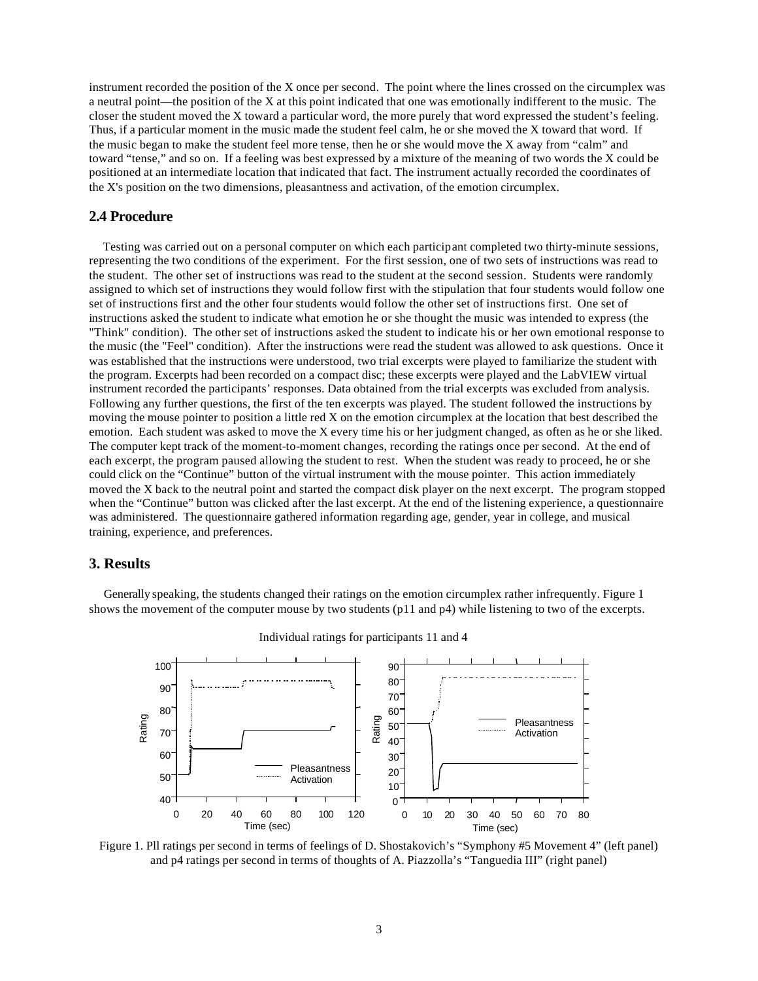instrument recorded the position of the X once per second. The point where the lines crossed on the circumplex was a neutral point—the position of the X at this point indicated that one was emotionally indifferent to the music. The closer the student moved the X toward a particular word, the more purely that word expressed the student's feeling. Thus, if a particular moment in the music made the student feel calm, he or she moved the X toward that word. If the music began to make the student feel more tense, then he or she would move the X away from "calm" and toward "tense," and so on. If a feeling was best expressed by a mixture of the meaning of two words the X could be positioned at an intermediate location that indicated that fact. The instrument actually recorded the coordinates of the X's position on the two dimensions, pleasantness and activation, of the emotion circumplex.

#### **2.4 Procedure**

 Testing was carried out on a personal computer on which each participant completed two thirty-minute sessions, representing the two conditions of the experiment. For the first session, one of two sets of instructions was read to the student. The other set of instructions was read to the student at the second session. Students were randomly assigned to which set of instructions they would follow first with the stipulation that four students would follow one set of instructions first and the other four students would follow the other set of instructions first. One set of instructions asked the student to indicate what emotion he or she thought the music was intended to express (the "Think" condition). The other set of instructions asked the student to indicate his or her own emotional response to the music (the "Feel" condition). After the instructions were read the student was allowed to ask questions. Once it was established that the instructions were understood, two trial excerpts were played to familiarize the student with the program. Excerpts had been recorded on a compact disc; these excerpts were played and the LabVIEW virtual instrument recorded the participants' responses. Data obtained from the trial excerpts was excluded from analysis. Following any further questions, the first of the ten excerpts was played. The student followed the instructions by moving the mouse pointer to position a little red X on the emotion circumplex at the location that best described the emotion. Each student was asked to move the X every time his or her judgment changed, as often as he or she liked. The computer kept track of the moment-to-moment changes, recording the ratings once per second. At the end of each excerpt, the program paused allowing the student to rest. When the student was ready to proceed, he or she could click on the "Continue" button of the virtual instrument with the mouse pointer. This action immediately moved the X back to the neutral point and started the compact disk player on the next excerpt. The program stopped when the "Continue" button was clicked after the last excerpt. At the end of the listening experience, a questionnaire was administered. The questionnaire gathered information regarding age, gender, year in college, and musical training, experience, and preferences.

### **3. Results**

 Generally speaking, the students changed their ratings on the emotion circumplex rather infrequently. Figure 1 shows the movement of the computer mouse by two students (p11 and p4) while listening to two of the excerpts.



Individual ratings for participants 11 and 4

Figure 1. Pll ratings per second in terms of feelings of D. Shostakovich's "Symphony #5 Movement 4" (left panel) and p4 ratings per second in terms of thoughts of A. Piazzolla's "Tanguedia III" (right panel)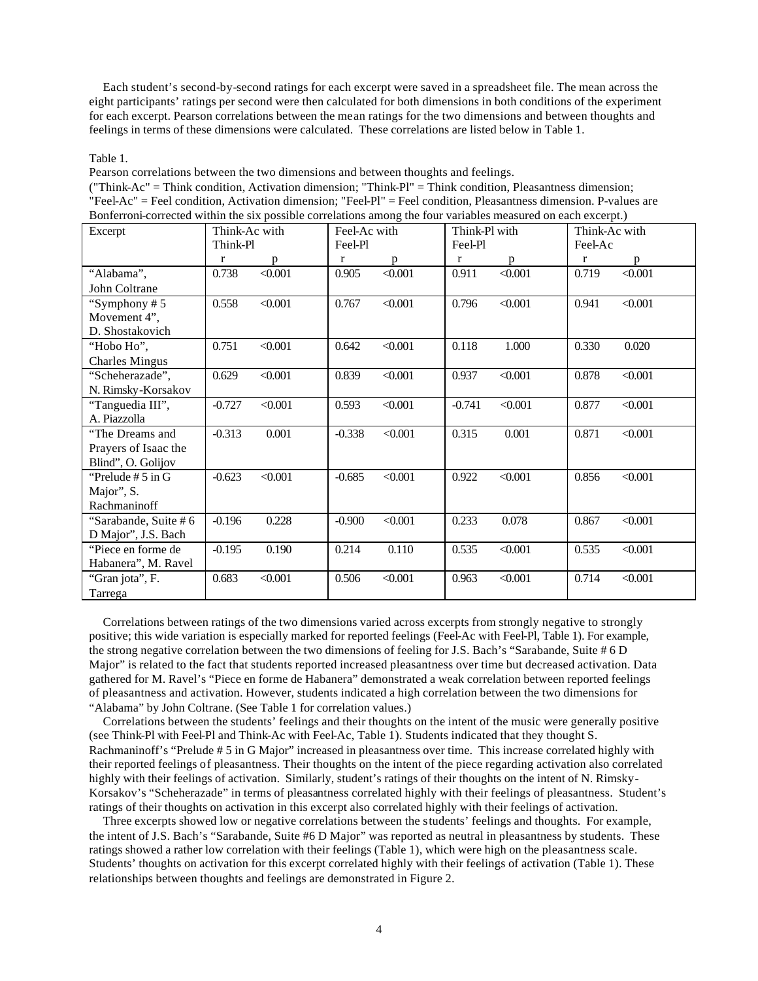Each student's second-by-second ratings for each excerpt were saved in a spreadsheet file. The mean across the eight participants' ratings per second were then calculated for both dimensions in both conditions of the experiment for each excerpt. Pearson correlations between the mean ratings for the two dimensions and between thoughts and feelings in terms of these dimensions were calculated. These correlations are listed below in Table 1.

#### Table 1.

Pearson correlations between the two dimensions and between thoughts and feelings.

| ("Think-Ac" = Think condition, Activation dimension; "Think-Pl" = Think condition, Pleasantness dimension;          |
|---------------------------------------------------------------------------------------------------------------------|
| $"FeelAc"$ = Feel condition. Activation dimension: "Feel-Pl" = Feel condition. Pleasantness dimension. P-values are |
| Bonferroni-corrected within the six possible correlations among the four variables measured on each excerpt.)       |

| Excerpt               | Think-Ac with<br>Feel-Ac with<br>Think-Pl<br>Feel-Pl |         | Think-Pl with<br>Feel-Pl |         | Think-Ac with<br>Feel-Ac |         |       |         |
|-----------------------|------------------------------------------------------|---------|--------------------------|---------|--------------------------|---------|-------|---------|
|                       | $\bf r$                                              | p       | r                        | p       | r                        | p       | r     | p       |
| "Alabama",            | 0.738                                                | < 0.001 | 0.905                    | < 0.001 | 0.911                    | < 0.001 | 0.719 | < 0.001 |
| John Coltrane         |                                                      |         |                          |         |                          |         |       |         |
| "Symphony #5"         | 0.558                                                | < 0.001 | 0.767                    | < 0.001 | 0.796                    | < 0.001 | 0.941 | < 0.001 |
| Movement 4",          |                                                      |         |                          |         |                          |         |       |         |
| D. Shostakovich       |                                                      |         |                          |         |                          |         |       |         |
| "Hobo Ho",            | 0.751                                                | < 0.001 | 0.642                    | < 0.001 | 0.118                    | 1.000   | 0.330 | 0.020   |
| <b>Charles Mingus</b> |                                                      |         |                          |         |                          |         |       |         |
| "Scheherazade",       | 0.629                                                | < 0.001 | 0.839                    | < 0.001 | 0.937                    | < 0.001 | 0.878 | < 0.001 |
| N. Rimsky-Korsakov    |                                                      |         |                          |         |                          |         |       |         |
| "Tanguedia III",      | $-0.727$                                             | < 0.001 | 0.593                    | < 0.001 | $-0.741$                 | < 0.001 | 0.877 | < 0.001 |
| A. Piazzolla          |                                                      |         |                          |         |                          |         |       |         |
| "The Dreams and       | $-0.313$                                             | 0.001   | $-0.338$                 | < 0.001 | 0.315                    | 0.001   | 0.871 | < 0.001 |
| Prayers of Isaac the  |                                                      |         |                          |         |                          |         |       |         |
| Blind", O. Golijov    |                                                      |         |                          |         |                          |         |       |         |
| "Prelude $# 5$ in G   | $-0.623$                                             | < 0.001 | $-0.685$                 | < 0.001 | 0.922                    | < 0.001 | 0.856 | < 0.001 |
| Major", S.            |                                                      |         |                          |         |                          |         |       |         |
| Rachmaninoff          |                                                      |         |                          |         |                          |         |       |         |
| "Sarabande, Suite #6  | $-0.196$                                             | 0.228   | $-0.900$                 | < 0.001 | 0.233                    | 0.078   | 0.867 | < 0.001 |
| D Major", J.S. Bach   |                                                      |         |                          |         |                          |         |       |         |
| "Piece en forme de    | $-0.195$                                             | 0.190   | 0.214                    | 0.110   | 0.535                    | < 0.001 | 0.535 | < 0.001 |
| Habanera", M. Ravel   |                                                      |         |                          |         |                          |         |       |         |
| "Gran jota", F.       | 0.683                                                | < 0.001 | 0.506                    | < 0.001 | 0.963                    | < 0.001 | 0.714 | < 0.001 |
| Tarrega               |                                                      |         |                          |         |                          |         |       |         |

 Correlations between ratings of the two dimensions varied across excerpts from strongly negative to strongly positive; this wide variation is especially marked for reported feelings (Feel-Ac with Feel-Pl, Table 1). For example, the strong negative correlation between the two dimensions of feeling for J.S. Bach's "Sarabande, Suite # 6 D Major" is related to the fact that students reported increased pleasantness over time but decreased activation. Data gathered for M. Ravel's "Piece en forme de Habanera" demonstrated a weak correlation between reported feelings of pleasantness and activation. However, students indicated a high correlation between the two dimensions for "Alabama" by John Coltrane. (See Table 1 for correlation values.)

 Correlations between the students' feelings and their thoughts on the intent of the music were generally positive (see Think-Pl with Feel-Pl and Think-Ac with Feel-Ac, Table 1). Students indicated that they thought S. Rachmaninoff's "Prelude # 5 in G Major" increased in pleasantness over time. This increase correlated highly with their reported feelings of pleasantness. Their thoughts on the intent of the piece regarding activation also correlated highly with their feelings of activation. Similarly, student's ratings of their thoughts on the intent of N. Rimsky-Korsakov's "Scheherazade" in terms of pleasantness correlated highly with their feelings of pleasantness. Student's ratings of their thoughts on activation in this excerpt also correlated highly with their feelings of activation.

 Three excerpts showed low or negative correlations between the students' feelings and thoughts. For example, the intent of J.S. Bach's "Sarabande, Suite #6 D Major" was reported as neutral in pleasantness by students. These ratings showed a rather low correlation with their feelings (Table 1), which were high on the pleasantness scale. Students' thoughts on activation for this excerpt correlated highly with their feelings of activation (Table 1). These relationships between thoughts and feelings are demonstrated in Figure 2.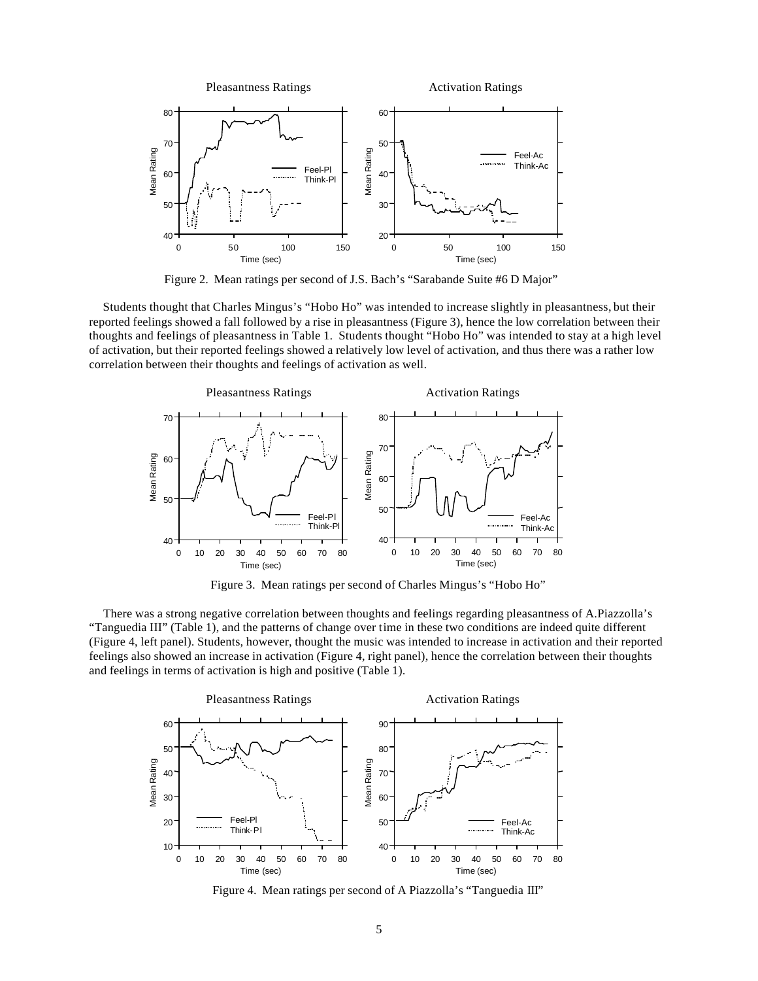

Figure 2. Mean ratings per second of J.S. Bach's "Sarabande Suite #6 D Major"

 Students thought that Charles Mingus's "Hobo Ho" was intended to increase slightly in pleasantness, but their reported feelings showed a fall followed by a rise in pleasantness (Figure 3), hence the low correlation between their thoughts and feelings of pleasantness in Table 1. Students thought "Hobo Ho" was intended to stay at a high level of activation, but their reported feelings showed a relatively low level of activation, and thus there was a rather low correlation between their thoughts and feelings of activation as well.



Figure 3. Mean ratings per second of Charles Mingus's "Hobo Ho"

 There was a strong negative correlation between thoughts and feelings regarding pleasantness of A.Piazzolla's "Tanguedia III" (Table 1), and the patterns of change over time in these two conditions are indeed quite different (Figure 4, left panel). Students, however, thought the music was intended to increase in activation and their reported feelings also showed an increase in activation (Figure 4, right panel), hence the correlation between their thoughts and feelings in terms of activation is high and positive (Table 1).



Figure 4. Mean ratings per second of A Piazzolla's "Tanguedia III"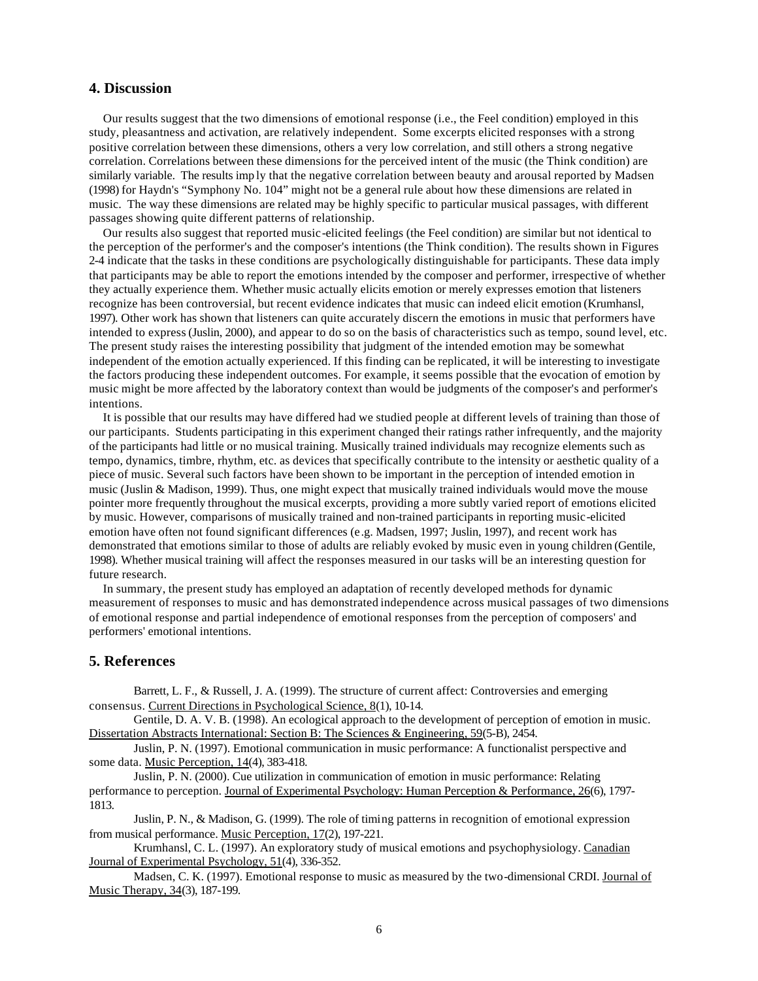## **4. Discussion**

 Our results suggest that the two dimensions of emotional response (i.e., the Feel condition) employed in this study, pleasantness and activation, are relatively independent. Some excerpts elicited responses with a strong positive correlation between these dimensions, others a very low correlation, and still others a strong negative correlation. Correlations between these dimensions for the perceived intent of the music (the Think condition) are similarly variable. The results imp ly that the negative correlation between beauty and arousal reported by Madsen (1998) for Haydn's "Symphony No. 104" might not be a general rule about how these dimensions are related in music. The way these dimensions are related may be highly specific to particular musical passages, with different passages showing quite different patterns of relationship.

 Our results also suggest that reported music-elicited feelings (the Feel condition) are similar but not identical to the perception of the performer's and the composer's intentions (the Think condition). The results shown in Figures 2-4 indicate that the tasks in these conditions are psychologically distinguishable for participants. These data imply that participants may be able to report the emotions intended by the composer and performer, irrespective of whether they actually experience them. Whether music actually elicits emotion or merely expresses emotion that listeners recognize has been controversial, but recent evidence indicates that music can indeed elicit emotion (Krumhansl, 1997). Other work has shown that listeners can quite accurately discern the emotions in music that performers have intended to express (Juslin, 2000), and appear to do so on the basis of characteristics such as tempo, sound level, etc. The present study raises the interesting possibility that judgment of the intended emotion may be somewhat independent of the emotion actually experienced. If this finding can be replicated, it will be interesting to investigate the factors producing these independent outcomes. For example, it seems possible that the evocation of emotion by music might be more affected by the laboratory context than would be judgments of the composer's and performer's intentions.

 It is possible that our results may have differed had we studied people at different levels of training than those of our participants. Students participating in this experiment changed their ratings rather infrequently, and the majority of the participants had little or no musical training. Musically trained individuals may recognize elements such as tempo, dynamics, timbre, rhythm, etc. as devices that specifically contribute to the intensity or aesthetic quality of a piece of music. Several such factors have been shown to be important in the perception of intended emotion in music (Juslin & Madison, 1999). Thus, one might expect that musically trained individuals would move the mouse pointer more frequently throughout the musical excerpts, providing a more subtly varied report of emotions elicited by music. However, comparisons of musically trained and non-trained participants in reporting music-elicited emotion have often not found significant differences (e.g. Madsen, 1997; Juslin, 1997), and recent work has demonstrated that emotions similar to those of adults are reliably evoked by music even in young children (Gentile, 1998). Whether musical training will affect the responses measured in our tasks will be an interesting question for future research.

 In summary, the present study has employed an adaptation of recently developed methods for dynamic measurement of responses to music and has demonstrated independence across musical passages of two dimensions of emotional response and partial independence of emotional responses from the perception of composers' and performers' emotional intentions.

### **5. References**

Barrett, L. F., & Russell, J. A. (1999). The structure of current affect: Controversies and emerging consensus. Current Directions in Psychological Science, 8(1), 10-14.

Gentile, D. A. V. B. (1998). An ecological approach to the development of perception of emotion in music. Dissertation Abstracts International: Section B: The Sciences & Engineering, 59(5-B), 2454.

Juslin, P. N. (1997). Emotional communication in music performance: A functionalist perspective and some data. Music Perception, 14(4), 383-418.

Juslin, P. N. (2000). Cue utilization in communication of emotion in music performance: Relating performance to perception. Journal of Experimental Psychology: Human Perception & Performance, 26(6), 1797- 1813.

Juslin, P. N., & Madison, G. (1999). The role of timing patterns in recognition of emotional expression from musical performance. Music Perception, 17(2), 197-221.

Krumhansl, C. L. (1997). An exploratory study of musical emotions and psychophysiology. Canadian Journal of Experimental Psychology, 51(4), 336-352.

Madsen, C. K. (1997). Emotional response to music as measured by the two-dimensional CRDI. Journal of Music Therapy, 34(3), 187-199.